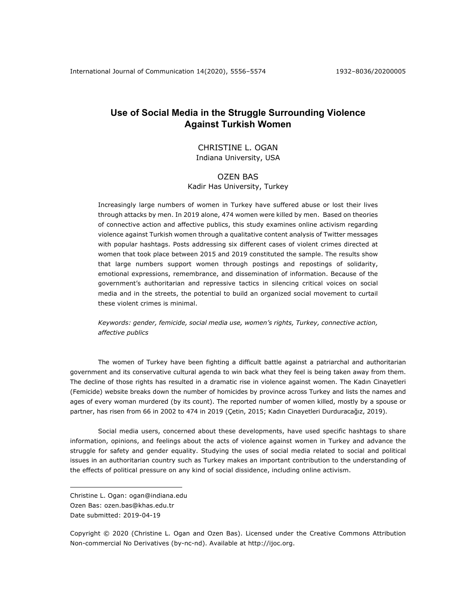## **Use of Social Media in the Struggle Surrounding Violence Against Turkish Women**

### CHRISTINE L. OGAN Indiana University, USA

# OZEN BAS

Kadir Has University, Turkey

Increasingly large numbers of women in Turkey have suffered abuse or lost their lives through attacks by men. In 2019 alone, 474 women were killed by men. Based on theories of connective action and affective publics, this study examines online activism regarding violence against Turkish women through a qualitative content analysis of Twitter messages with popular hashtags. Posts addressing six different cases of violent crimes directed at women that took place between 2015 and 2019 constituted the sample. The results show that large numbers support women through postings and repostings of solidarity, emotional expressions, remembrance, and dissemination of information. Because of the government's authoritarian and repressive tactics in silencing critical voices on social media and in the streets, the potential to build an organized social movement to curtail these violent crimes is minimal.

*Keywords: gender, femicide, social media use, women's rights, Turkey, connective action, affective publics*

The women of Turkey have been fighting a difficult battle against a patriarchal and authoritarian government and its conservative cultural agenda to win back what they feel is being taken away from them. The decline of those rights has resulted in a dramatic rise in violence against women. The Kadın Cinayetleri (Femicide) website breaks down the number of homicides by province across Turkey and lists the names and ages of every woman murdered (by its count). The reported number of women killed, mostly by a spouse or partner, has risen from 66 in 2002 to 474 in 2019 (Çetin, 2015; Kadın Cinayetleri Durduracağız, 2019).

Social media users, concerned about these developments, have used specific hashtags to share information, opinions, and feelings about the acts of violence against women in Turkey and advance the struggle for safety and gender equality. Studying the uses of social media related to social and political issues in an authoritarian country such as Turkey makes an important contribution to the understanding of the effects of political pressure on any kind of social dissidence, including online activism.

Copyright © 2020 (Christine L. Ogan and Ozen Bas). Licensed under the Creative Commons Attribution Non-commercial No Derivatives (by-nc-nd). Available at http://ijoc.org.

Christine L. Ogan: ogan@indiana.edu Ozen Bas: ozen.bas@khas.edu.tr Date submitted: 2019-04-19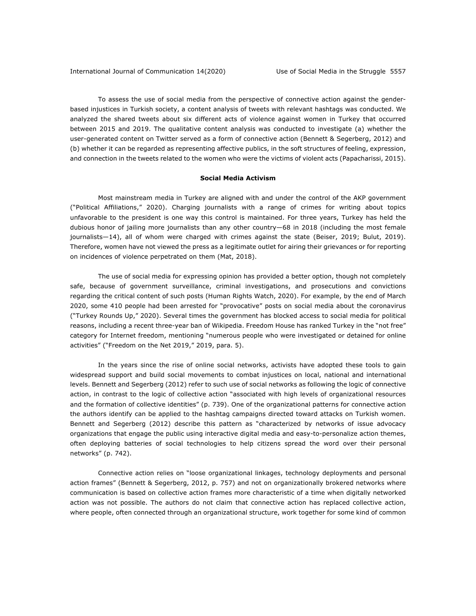To assess the use of social media from the perspective of connective action against the genderbased injustices in Turkish society, a content analysis of tweets with relevant hashtags was conducted. We analyzed the shared tweets about six different acts of violence against women in Turkey that occurred between 2015 and 2019. The qualitative content analysis was conducted to investigate (a) whether the user-generated content on Twitter served as a form of connective action (Bennett & Segerberg, 2012) and (b) whether it can be regarded as representing affective publics, in the soft structures of feeling, expression, and connection in the tweets related to the women who were the victims of violent acts (Papacharissi, 2015).

#### **Social Media Activism**

Most mainstream media in Turkey are aligned with and under the control of the AKP government ("Political Affiliations," 2020). Charging journalists with a range of crimes for writing about topics unfavorable to the president is one way this control is maintained. For three years, Turkey has held the dubious honor of jailing more journalists than any other country—68 in 2018 (including the most female journalists—14), all of whom were charged with crimes against the state (Beiser, 2019; Bulut, 2019). Therefore, women have not viewed the press as a legitimate outlet for airing their grievances or for reporting on incidences of violence perpetrated on them (Mat, 2018).

The use of social media for expressing opinion has provided a better option, though not completely safe, because of government surveillance, criminal investigations, and prosecutions and convictions regarding the critical content of such posts (Human Rights Watch, 2020). For example, by the end of March 2020, some 410 people had been arrested for "provocative" posts on social media about the coronavirus ("Turkey Rounds Up," 2020). Several times the government has blocked access to social media for political reasons, including a recent three-year ban of Wikipedia. Freedom House has ranked Turkey in the "not free" category for Internet freedom, mentioning "numerous people who were investigated or detained for online activities" ("Freedom on the Net 2019," 2019, para. 5).

In the years since the rise of online social networks, activists have adopted these tools to gain widespread support and build social movements to combat injustices on local, national and international levels. Bennett and Segerberg (2012) refer to such use of social networks as following the logic of connective action, in contrast to the logic of collective action "associated with high levels of organizational resources and the formation of collective identities" (p. 739). One of the organizational patterns for connective action the authors identify can be applied to the hashtag campaigns directed toward attacks on Turkish women. Bennett and Segerberg (2012) describe this pattern as "characterized by networks of issue advocacy organizations that engage the public using interactive digital media and easy-to-personalize action themes, often deploying batteries of social technologies to help citizens spread the word over their personal networks" (p. 742).

Connective action relies on "loose organizational linkages, technology deployments and personal action frames" (Bennett & Segerberg, 2012, p. 757) and not on organizationally brokered networks where communication is based on collective action frames more characteristic of a time when digitally networked action was not possible. The authors do not claim that connective action has replaced collective action, where people, often connected through an organizational structure, work together for some kind of common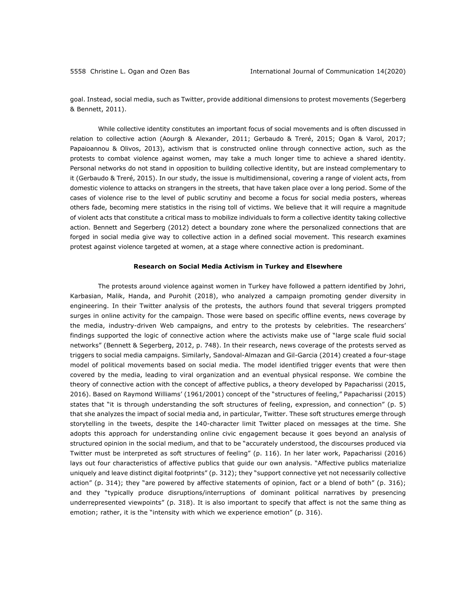goal. Instead, social media, such as Twitter, provide additional dimensions to protest movements (Segerberg & Bennett, 2011).

While collective identity constitutes an important focus of social movements and is often discussed in relation to collective action (Aourgh & Alexander, 2011; Gerbaudo & Treré, 2015; Ogan & Varol, 2017; Papaioannou & Olivos, 2013), activism that is constructed online through connective action, such as the protests to combat violence against women, may take a much longer time to achieve a shared identity. Personal networks do not stand in opposition to building collective identity, but are instead complementary to it (Gerbaudo & Treré, 2015). In our study, the issue is multidimensional, covering a range of violent acts, from domestic violence to attacks on strangers in the streets, that have taken place over a long period. Some of the cases of violence rise to the level of public scrutiny and become a focus for social media posters, whereas others fade, becoming mere statistics in the rising toll of victims. We believe that it will require a magnitude of violent acts that constitute a critical mass to mobilize individuals to form a collective identity taking collective action. Bennett and Segerberg (2012) detect a boundary zone where the personalized connections that are forged in social media give way to collective action in a defined social movement. This research examines protest against violence targeted at women, at a stage where connective action is predominant.

#### **Research on Social Media Activism in Turkey and Elsewhere**

The protests around violence against women in Turkey have followed a pattern identified by Johri, Karbasian, Malik, Handa, and Purohit (2018), who analyzed a campaign promoting gender diversity in engineering. In their Twitter analysis of the protests, the authors found that several triggers prompted surges in online activity for the campaign. Those were based on specific offline events, news coverage by the media, industry-driven Web campaigns, and entry to the protests by celebrities. The researchers' findings supported the logic of connective action where the activists make use of "large scale fluid social networks" (Bennett & Segerberg, 2012, p. 748). In their research, news coverage of the protests served as triggers to social media campaigns. Similarly, Sandoval-Almazan and Gil-Garcia (2014) created a four-stage model of political movements based on social media. The model identified trigger events that were then covered by the media, leading to viral organization and an eventual physical response. We combine the theory of connective action with the concept of affective publics, a theory developed by Papacharissi (2015, 2016). Based on Raymond Williams' (1961/2001) concept of the "structures of feeling," Papacharissi (2015) states that "it is through understanding the soft structures of feeling, expression, and connection" (p. 5) that she analyzes the impact of social media and, in particular, Twitter. These soft structures emerge through storytelling in the tweets, despite the 140-character limit Twitter placed on messages at the time. She adopts this approach for understanding online civic engagement because it goes beyond an analysis of structured opinion in the social medium, and that to be "accurately understood, the discourses produced via Twitter must be interpreted as soft structures of feeling" (p. 116). In her later work, Papacharissi (2016) lays out four characteristics of affective publics that guide our own analysis. "Affective publics materialize uniquely and leave distinct digital footprints" (p. 312); they "support connective yet not necessarily collective action" (p. 314); they "are powered by affective statements of opinion, fact or a blend of both" (p. 316); and they "typically produce disruptions/interruptions of dominant political narratives by presencing underrepresented viewpoints" (p. 318). It is also important to specify that affect is not the same thing as emotion; rather, it is the "intensity with which we experience emotion" (p. 316).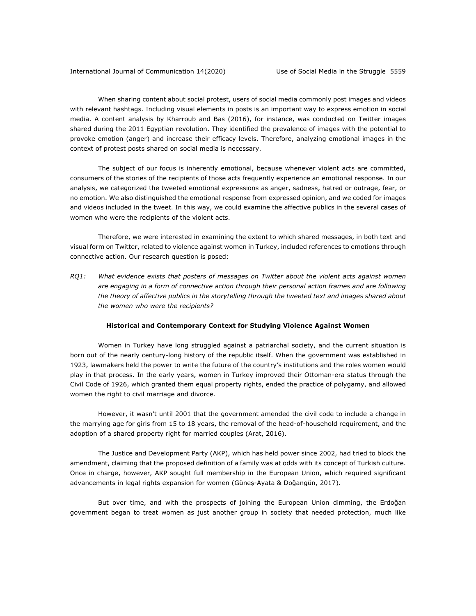When sharing content about social protest, users of social media commonly post images and videos with relevant hashtags. Including visual elements in posts is an important way to express emotion in social media. A content analysis by Kharroub and Bas (2016), for instance, was conducted on Twitter images shared during the 2011 Egyptian revolution. They identified the prevalence of images with the potential to provoke emotion (anger) and increase their efficacy levels. Therefore, analyzing emotional images in the context of protest posts shared on social media is necessary.

The subject of our focus is inherently emotional, because whenever violent acts are committed, consumers of the stories of the recipients of those acts frequently experience an emotional response. In our analysis, we categorized the tweeted emotional expressions as anger, sadness, hatred or outrage, fear, or no emotion. We also distinguished the emotional response from expressed opinion, and we coded for images and videos included in the tweet. In this way, we could examine the affective publics in the several cases of women who were the recipients of the violent acts.

Therefore, we were interested in examining the extent to which shared messages, in both text and visual form on Twitter, related to violence against women in Turkey, included references to emotions through connective action. Our research question is posed:

*RQ1: What evidence exists that posters of messages on Twitter about the violent acts against women are engaging in a form of connective action through their personal action frames and are following the theory of affective publics in the storytelling through the tweeted text and images shared about the women who were the recipients?*

#### **Historical and Contemporary Context for Studying Violence Against Women**

Women in Turkey have long struggled against a patriarchal society, and the current situation is born out of the nearly century-long history of the republic itself. When the government was established in 1923, lawmakers held the power to write the future of the country's institutions and the roles women would play in that process. In the early years, women in Turkey improved their Ottoman-era status through the Civil Code of 1926, which granted them equal property rights, ended the practice of polygamy, and allowed women the right to civil marriage and divorce.

However, it wasn't until 2001 that the government amended the civil code to include a change in the marrying age for girls from 15 to 18 years, the removal of the head-of-household requirement, and the adoption of a shared property right for married couples (Arat, 2016).

The Justice and Development Party (AKP), which has held power since 2002, had tried to block the amendment, claiming that the proposed definition of a family was at odds with its concept of Turkish culture. Once in charge, however, AKP sought full membership in the European Union, which required significant advancements in legal rights expansion for women (Güneş-Ayata & Doğangün, 2017).

But over time, and with the prospects of joining the European Union dimming, the Erdoğan government began to treat women as just another group in society that needed protection, much like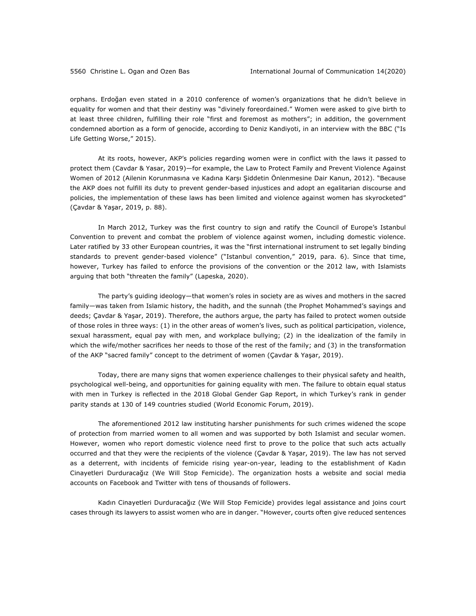orphans. Erdoğan even stated in a 2010 conference of women's organizations that he didn't believe in equality for women and that their destiny was "divinely foreordained." Women were asked to give birth to at least three children, fulfilling their role "first and foremost as mothers"; in addition, the government condemned abortion as a form of genocide, according to Deniz Kandiyoti, in an interview with the BBC ("Is Life Getting Worse," 2015).

At its roots, however, AKP's policies regarding women were in conflict with the laws it passed to protect them (Cavdar & Yasar, 2019)—for example, the Law to Protect Family and Prevent Violence Against Women of 2012 (Ailenin Korunmasına ve Kadına Karşı Şiddetin Önlenmesine Dair Kanun, 2012). "Because the AKP does not fulfill its duty to prevent gender-based injustices and adopt an egalitarian discourse and policies, the implementation of these laws has been limited and violence against women has skyrocketed" (Çavdar & Yaşar, 2019, p. 88).

In March 2012, Turkey was the first country to sign and ratify the Council of Europe's Istanbul Convention to prevent and combat the problem of violence against women, including domestic violence. Later ratified by 33 other European countries, it was the "first international instrument to set legally binding standards to prevent gender-based violence" ("Istanbul convention," 2019, para. 6). Since that time, however, Turkey has failed to enforce the provisions of the convention or the 2012 law, with Islamists arguing that both "threaten the family" (Lapeska, 2020).

The party's guiding ideology—that women's roles in society are as wives and mothers in the sacred family—was taken from Islamic history, the hadith, and the sunnah (the Prophet Mohammed's sayings and deeds; Çavdar & Yaşar, 2019). Therefore, the authors argue, the party has failed to protect women outside of those roles in three ways: (1) in the other areas of women's lives, such as political participation, violence, sexual harassment, equal pay with men, and workplace bullying; (2) in the idealization of the family in which the wife/mother sacrifices her needs to those of the rest of the family; and (3) in the transformation of the AKP "sacred family" concept to the detriment of women (Çavdar & Yaşar, 2019).

Today, there are many signs that women experience challenges to their physical safety and health, psychological well-being, and opportunities for gaining equality with men. The failure to obtain equal status with men in Turkey is reflected in the 2018 Global Gender Gap Report, in which Turkey's rank in gender parity stands at 130 of 149 countries studied (World Economic Forum, 2019).

The aforementioned 2012 law instituting harsher punishments for such crimes widened the scope of protection from married women to all women and was supported by both Islamist and secular women. However, women who report domestic violence need first to prove to the police that such acts actually occurred and that they were the recipients of the violence (Çavdar & Yaşar, 2019). The law has not served as a deterrent, with incidents of femicide rising year-on-year, leading to the establishment of Kadın Cinayetleri Durduracağız (We Will Stop Femicide). The organization hosts a website and social media accounts on Facebook and Twitter with tens of thousands of followers.

Kadın Cinayetleri Durduracağız (We Will Stop Femicide) provides legal assistance and joins court cases through its lawyers to assist women who are in danger. "However, courts often give reduced sentences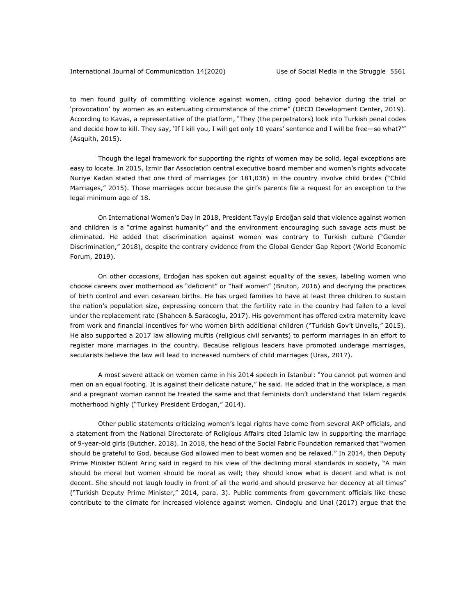to men found guilty of committing violence against women, citing good behavior during the trial or 'provocation' by women as an extenuating circumstance of the crime" (OECD Development Center, 2019). According to Kavas, a representative of the platform, "They (the perpetrators) look into Turkish penal codes and decide how to kill. They say, 'If I kill you, I will get only 10 years' sentence and I will be free—so what?'" (Asquith, 2015).

Though the legal framework for supporting the rights of women may be solid, legal exceptions are easy to locate. In 2015, İzmir Bar Association central executive board member and women's rights advocate Nuriye Kadan stated that one third of marriages (or 181,036) in the country involve child brides ("Child Marriages," 2015). Those marriages occur because the girl's parents file a request for an exception to the legal minimum age of 18.

On International Women's Day in 2018, President Tayyip Erdoğan said that violence against women and children is a "crime against humanity" and the environment encouraging such savage acts must be eliminated. He added that discrimination against women was contrary to Turkish culture ("Gender Discrimination," 2018), despite the contrary evidence from the Global Gender Gap Report (World Economic Forum, 2019).

On other occasions, Erdoğan has spoken out against equality of the sexes, labeling women who choose careers over motherhood as "deficient" or "half women" (Bruton, 2016) and decrying the practices of birth control and even cesarean births. He has urged families to have at least three children to sustain the nation's population size, expressing concern that the fertility rate in the country had fallen to a level under the replacement rate (Shaheen & Saracoglu, 2017). His government has offered extra maternity leave from work and financial incentives for who women birth additional children ("Turkish Gov't Unveils," 2015). He also supported a 2017 law allowing muftis (religious civil servants) to perform marriages in an effort to register more marriages in the country. Because religious leaders have promoted underage marriages, secularists believe the law will lead to increased numbers of child marriages (Uras, 2017).

A most severe attack on women came in his 2014 speech in Istanbul: "You cannot put women and men on an equal footing. It is against their delicate nature," he said. He added that in the workplace, a man and a pregnant woman cannot be treated the same and that feminists don't understand that Islam regards motherhood highly ("Turkey President Erdogan," 2014).

Other public statements criticizing women's legal rights have come from several AKP officials, and a statement from the National Directorate of Religious Affairs cited Islamic law in supporting the marriage of 9-year-old girls (Butcher, 2018). In 2018, the head of the Social Fabric Foundation remarked that "women should be grateful to God, because God allowed men to beat women and be relaxed." In 2014, then Deputy Prime Minister Bülent Arınç said in regard to his view of the declining moral standards in society, "A man should be moral but women should be moral as well; they should know what is decent and what is not decent. She should not laugh loudly in front of all the world and should preserve her decency at all times" ("Turkish Deputy Prime Minister," 2014, para. 3). Public comments from government officials like these contribute to the climate for increased violence against women. Cindoglu and Unal (2017) argue that the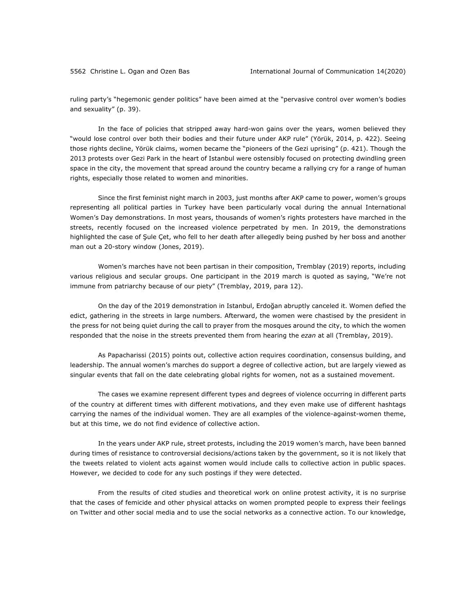ruling party's "hegemonic gender politics" have been aimed at the "pervasive control over women's bodies and sexuality" (p. 39).

In the face of policies that stripped away hard-won gains over the years, women believed they "would lose control over both their bodies and their future under AKP rule" (Yörük, 2014, p. 422). Seeing those rights decline, Yörük claims, women became the "pioneers of the Gezi uprising" (p. 421). Though the 2013 protests over Gezi Park in the heart of Istanbul were ostensibly focused on protecting dwindling green space in the city, the movement that spread around the country became a rallying cry for a range of human rights, especially those related to women and minorities.

Since the first feminist night march in 2003, just months after AKP came to power, women's groups representing all political parties in Turkey have been particularly vocal during the annual International Women's Day demonstrations. In most years, thousands of women's rights protesters have marched in the streets, recently focused on the increased violence perpetrated by men. In 2019, the demonstrations highlighted the case of Şule Çet, who fell to her death after allegedly being pushed by her boss and another man out a 20-story window (Jones, 2019).

Women's marches have not been partisan in their composition, Tremblay (2019) reports, including various religious and secular groups. One participant in the 2019 march is quoted as saying, "We're not immune from patriarchy because of our piety" (Tremblay, 2019, para 12).

On the day of the 2019 demonstration in Istanbul, Erdoğan abruptly canceled it. Women defied the edict, gathering in the streets in large numbers. Afterward, the women were chastised by the president in the press for not being quiet during the call to prayer from the mosques around the city, to which the women responded that the noise in the streets prevented them from hearing the *ezan* at all (Tremblay, 2019).

As Papacharissi (2015) points out, collective action requires coordination, consensus building, and leadership. The annual women's marches do support a degree of collective action, but are largely viewed as singular events that fall on the date celebrating global rights for women, not as a sustained movement.

The cases we examine represent different types and degrees of violence occurring in different parts of the country at different times with different motivations, and they even make use of different hashtags carrying the names of the individual women. They are all examples of the violence-against-women theme, but at this time, we do not find evidence of collective action.

In the years under AKP rule, street protests, including the 2019 women's march, have been banned during times of resistance to controversial decisions/actions taken by the government, so it is not likely that the tweets related to violent acts against women would include calls to collective action in public spaces. However, we decided to code for any such postings if they were detected.

From the results of cited studies and theoretical work on online protest activity, it is no surprise that the cases of femicide and other physical attacks on women prompted people to express their feelings on Twitter and other social media and to use the social networks as a connective action. To our knowledge,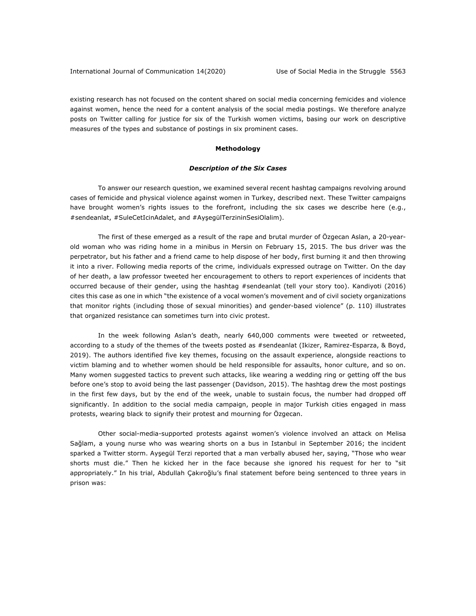existing research has not focused on the content shared on social media concerning femicides and violence against women, hence the need for a content analysis of the social media postings. We therefore analyze posts on Twitter calling for justice for six of the Turkish women victims, basing our work on descriptive measures of the types and substance of postings in six prominent cases.

#### **Methodology**

#### *Description of the Six Cases*

To answer our research question, we examined several recent hashtag campaigns revolving around cases of femicide and physical violence against women in Turkey, described next. These Twitter campaigns have brought women's rights issues to the forefront, including the six cases we describe here (e.g., #sendeanlat, #SuleCetIcinAdalet, and #AyşegülTerzininSesiOlalim).

The first of these emerged as a result of the rape and brutal murder of Özgecan Aslan, a 20-yearold woman who was riding home in a minibus in Mersin on February 15, 2015. The bus driver was the perpetrator, but his father and a friend came to help dispose of her body, first burning it and then throwing it into a river. Following media reports of the crime, individuals expressed outrage on Twitter. On the day of her death, a law professor tweeted her encouragement to others to report experiences of incidents that occurred because of their gender, using the hashtag #sendeanlat (tell your story too). Kandiyoti (2016) cites this case as one in which "the existence of a vocal women's movement and of civil society organizations that monitor rights (including those of sexual minorities) and gender-based violence" (p. 110) illustrates that organized resistance can sometimes turn into civic protest.

In the week following Aslan's death, nearly 640,000 comments were tweeted or retweeted, according to a study of the themes of the tweets posted as #sendeanlat (Ikizer, Ramirez-Esparza, & Boyd, 2019). The authors identified five key themes, focusing on the assault experience, alongside reactions to victim blaming and to whether women should be held responsible for assaults, honor culture, and so on. Many women suggested tactics to prevent such attacks, like wearing a wedding ring or getting off the bus before one's stop to avoid being the last passenger (Davidson, 2015). The hashtag drew the most postings in the first few days, but by the end of the week, unable to sustain focus, the number had dropped off significantly. In addition to the social media campaign, people in major Turkish cities engaged in mass protests, wearing black to signify their protest and mourning for Özgecan.

Other social-media-supported protests against women's violence involved an attack on Melisa Sağlam, a young nurse who was wearing shorts on a bus in Istanbul in September 2016; the incident sparked a Twitter storm. Ayşegül Terzi reported that a man verbally abused her, saying, "Those who wear shorts must die." Then he kicked her in the face because she ignored his request for her to "sit appropriately." In his trial, Abdullah Çakıroğlu's final statement before being sentenced to three years in prison was: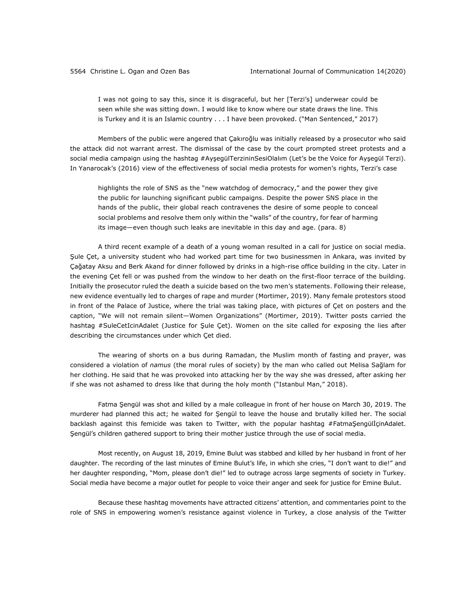I was not going to say this, since it is disgraceful, but her [Terzi's] underwear could be seen while she was sitting down. I would like to know where our state draws the line. This is Turkey and it is an Islamic country . . . I have been provoked. ("Man Sentenced," 2017)

Members of the public were angered that Çakıroğlu was initially released by a prosecutor who said the attack did not warrant arrest. The dismissal of the case by the court prompted street protests and a social media campaign using the hashtag #AyşegülTerzininSesiOlalım (Let's be the Voice for Ayşegül Terzi). In Yanarocak's (2016) view of the effectiveness of social media protests for women's rights, Terzi's case

highlights the role of SNS as the "new watchdog of democracy," and the power they give the public for launching significant public campaigns. Despite the power SNS place in the hands of the public, their global reach contravenes the desire of some people to conceal social problems and resolve them only within the "walls" of the country, for fear of harming its image—even though such leaks are inevitable in this day and age. (para. 8)

A third recent example of a death of a young woman resulted in a call for justice on social media. Şule Çet, a university student who had worked part time for two businessmen in Ankara, was invited by Çağatay Aksu and Berk Akand for dinner followed by drinks in a high-rise office building in the city. Later in the evening Çet fell or was pushed from the window to her death on the first-floor terrace of the building. Initially the prosecutor ruled the death a suicide based on the two men's statements. Following their release, new evidence eventually led to charges of rape and murder (Mortimer, 2019). Many female protestors stood in front of the Palace of Justice, where the trial was taking place, with pictures of Çet on posters and the caption, "We will not remain silent—Women Organizations" (Mortimer, 2019). Twitter posts carried the hashtag #SuleCetIcinAdalet (Justice for Şule Çet). Women on the site called for exposing the lies after describing the circumstances under which Çet died.

The wearing of shorts on a bus during Ramadan, the Muslim month of fasting and prayer, was considered a violation of *namus* (the moral rules of society) by the man who called out Melisa Sağlam for her clothing. He said that he was provoked into attacking her by the way she was dressed, after asking her if she was not ashamed to dress like that during the holy month ("Istanbul Man," 2018).

Fatma Şengül was shot and killed by a male colleague in front of her house on March 30, 2019. The murderer had planned this act; he waited for Şengül to leave the house and brutally killed her. The social backlash against this femicide was taken to Twitter, with the popular hashtag #FatmaŞengülİçinAdalet. Şengül's children gathered support to bring their mother justice through the use of social media.

Most recently, on August 18, 2019, Emine Bulut was stabbed and killed by her husband in front of her daughter. The recording of the last minutes of Emine Bulut's life, in which she cries, "I don't want to die!" and her daughter responding, "Mom, please don't die!" led to outrage across large segments of society in Turkey. Social media have become a major outlet for people to voice their anger and seek for justice for Emine Bulut.

Because these hashtag movements have attracted citizens' attention, and commentaries point to the role of SNS in empowering women's resistance against violence in Turkey, a close analysis of the Twitter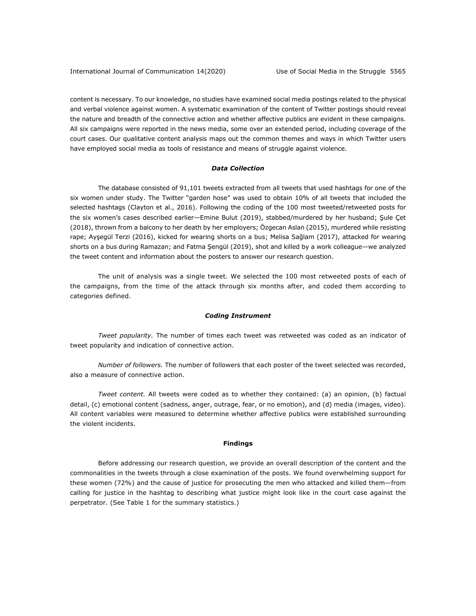content is necessary. To our knowledge, no studies have examined social media postings related to the physical and verbal violence against women. A systematic examination of the content of Twitter postings should reveal the nature and breadth of the connective action and whether affective publics are evident in these campaigns. All six campaigns were reported in the news media, some over an extended period, including coverage of the court cases. Our qualitative content analysis maps out the common themes and ways in which Twitter users have employed social media as tools of resistance and means of struggle against violence.

#### *Data Collection*

The database consisted of 91,101 tweets extracted from all tweets that used hashtags for one of the six women under study. The Twitter "garden hose" was used to obtain 10% of all tweets that included the selected hashtags (Clayton et al., 2016). Following the coding of the 100 most tweeted/retweeted posts for the six women's cases described earlier—Emine Bulut (2019), stabbed/murdered by her husband; Şule Çet (2018), thrown from a balcony to her death by her employers; Özgecan Aslan (2015), murdered while resisting rape; Ayşegül Terzi (2016), kicked for wearing shorts on a bus; Melisa Sağlam (2017), attacked for wearing shorts on a bus during Ramazan; and Fatma Şengül (2019), shot and killed by a work colleague—we analyzed the tweet content and information about the posters to answer our research question.

The unit of analysis was a single tweet. We selected the 100 most retweeted posts of each of the campaigns, from the time of the attack through six months after, and coded them according to categories defined.

#### *Coding Instrument*

*Tweet popularity.* The number of times each tweet was retweeted was coded as an indicator of tweet popularity and indication of connective action.

*Number of followers.* The number of followers that each poster of the tweet selected was recorded, also a measure of connective action.

*Tweet content.* All tweets were coded as to whether they contained: (a) an opinion, (b) factual detail, (c) emotional content (sadness, anger, outrage, fear, or no emotion), and (d) media (images, video). All content variables were measured to determine whether affective publics were established surrounding the violent incidents.

#### **Findings**

Before addressing our research question, we provide an overall description of the content and the commonalities in the tweets through a close examination of the posts. We found overwhelming support for these women (72%) and the cause of justice for prosecuting the men who attacked and killed them—from calling for justice in the hashtag to describing what justice might look like in the court case against the perpetrator. (See Table 1 for the summary statistics.)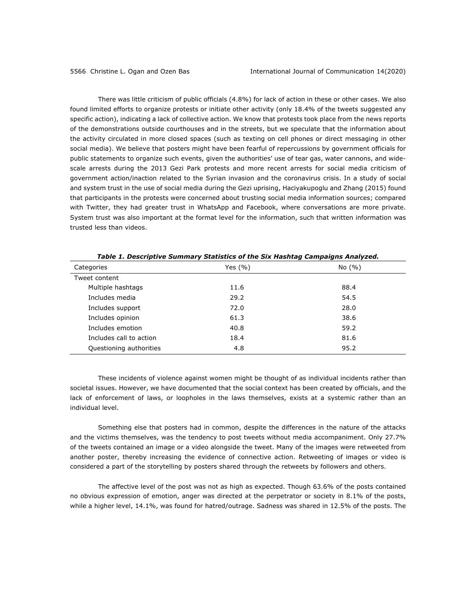There was little criticism of public officials (4.8%) for lack of action in these or other cases. We also found limited efforts to organize protests or initiate other activity (only 18.4% of the tweets suggested any specific action), indicating a lack of collective action. We know that protests took place from the news reports of the demonstrations outside courthouses and in the streets, but we speculate that the information about the activity circulated in more closed spaces (such as texting on cell phones or direct messaging in other social media). We believe that posters might have been fearful of repercussions by government officials for public statements to organize such events, given the authorities' use of tear gas, water cannons, and widescale arrests during the 2013 Gezi Park protests and more recent arrests for social media criticism of government action/inaction related to the Syrian invasion and the coronavirus crisis. In a study of social and system trust in the use of social media during the Gezi uprising, Haciyakupoglu and Zhang (2015) found that participants in the protests were concerned about trusting social media information sources; compared with Twitter, they had greater trust in WhatsApp and Facebook, where conversations are more private. System trust was also important at the format level for the information, such that written information was trusted less than videos.

| Categories              | Yes $(\% )$ | No(%) |
|-------------------------|-------------|-------|
| Tweet content           |             |       |
| Multiple hashtags       | 11.6        | 88.4  |
| Includes media          | 29.2        | 54.5  |
| Includes support        | 72.0        | 28.0  |
| Includes opinion        | 61.3        | 38.6  |
| Includes emotion        | 40.8        | 59.2  |
| Includes call to action | 18.4        | 81.6  |
| Questioning authorities | 4.8         | 95.2  |

*Table 1. Descriptive Summary Statistics of the Six Hashtag Campaigns Analyzed.*

These incidents of violence against women might be thought of as individual incidents rather than societal issues. However, we have documented that the social context has been created by officials, and the lack of enforcement of laws, or loopholes in the laws themselves, exists at a systemic rather than an individual level.

Something else that posters had in common, despite the differences in the nature of the attacks and the victims themselves, was the tendency to post tweets without media accompaniment. Only 27.7% of the tweets contained an image or a video alongside the tweet. Many of the images were retweeted from another poster, thereby increasing the evidence of connective action. Retweeting of images or video is considered a part of the storytelling by posters shared through the retweets by followers and others.

The affective level of the post was not as high as expected. Though 63.6% of the posts contained no obvious expression of emotion, anger was directed at the perpetrator or society in 8.1% of the posts, while a higher level, 14.1%, was found for hatred/outrage. Sadness was shared in 12.5% of the posts. The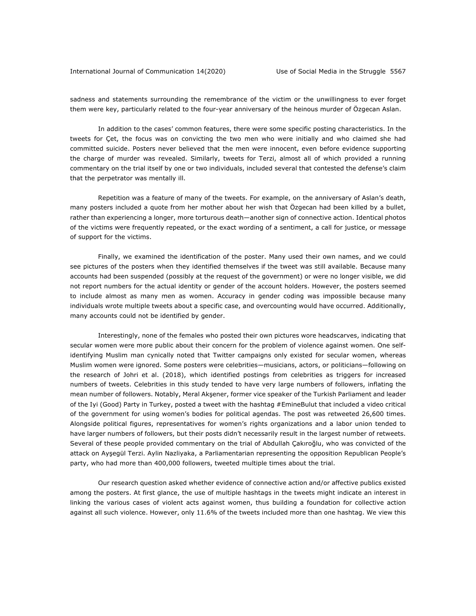sadness and statements surrounding the remembrance of the victim or the unwillingness to ever forget them were key, particularly related to the four-year anniversary of the heinous murder of Özgecan Aslan.

In addition to the cases' common features, there were some specific posting characteristics. In the tweets for Çet, the focus was on convicting the two men who were initially and who claimed she had committed suicide. Posters never believed that the men were innocent, even before evidence supporting the charge of murder was revealed. Similarly, tweets for Terzi, almost all of which provided a running commentary on the trial itself by one or two individuals, included several that contested the defense's claim that the perpetrator was mentally ill.

Repetition was a feature of many of the tweets. For example, on the anniversary of Aslan's death, many posters included a quote from her mother about her wish that Özgecan had been killed by a bullet, rather than experiencing a longer, more torturous death—another sign of connective action. Identical photos of the victims were frequently repeated, or the exact wording of a sentiment, a call for justice, or message of support for the victims.

Finally, we examined the identification of the poster. Many used their own names, and we could see pictures of the posters when they identified themselves if the tweet was still available. Because many accounts had been suspended (possibly at the request of the government) or were no longer visible, we did not report numbers for the actual identity or gender of the account holders. However, the posters seemed to include almost as many men as women. Accuracy in gender coding was impossible because many individuals wrote multiple tweets about a specific case, and overcounting would have occurred. Additionally, many accounts could not be identified by gender.

Interestingly, none of the females who posted their own pictures wore headscarves, indicating that secular women were more public about their concern for the problem of violence against women. One selfidentifying Muslim man cynically noted that Twitter campaigns only existed for secular women, whereas Muslim women were ignored. Some posters were celebrities—musicians, actors, or politicians—following on the research of Johri et al. (2018), which identified postings from celebrities as triggers for increased numbers of tweets. Celebrities in this study tended to have very large numbers of followers, inflating the mean number of followers. Notably, Meral Akşener, former vice speaker of the Turkish Parliament and leader of the Iyi (Good) Party in Turkey, posted a tweet with the hashtag #EmineBulut that included a video critical of the government for using women's bodies for political agendas. The post was retweeted 26,600 times. Alongside political figures, representatives for women's rights organizations and a labor union tended to have larger numbers of followers, but their posts didn't necessarily result in the largest number of retweets. Several of these people provided commentary on the trial of Abdullah Çakıroğlu, who was convicted of the attack on Ayşegül Terzi. Aylin Nazliyaka, a Parliamentarian representing the opposition Republican People's party, who had more than 400,000 followers, tweeted multiple times about the trial.

Our research question asked whether evidence of connective action and/or affective publics existed among the posters. At first glance, the use of multiple hashtags in the tweets might indicate an interest in linking the various cases of violent acts against women, thus building a foundation for collective action against all such violence. However, only 11.6% of the tweets included more than one hashtag. We view this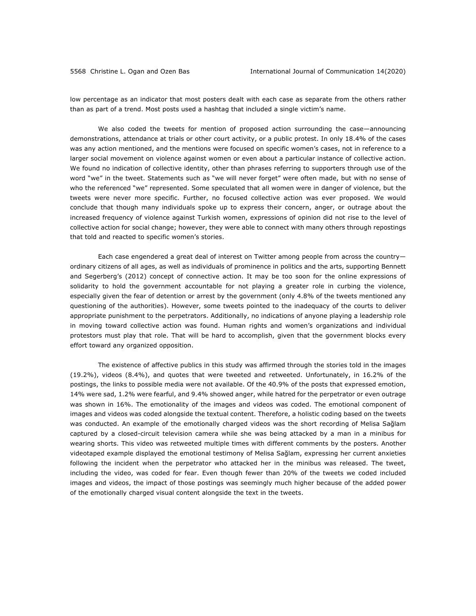low percentage as an indicator that most posters dealt with each case as separate from the others rather than as part of a trend. Most posts used a hashtag that included a single victim's name.

We also coded the tweets for mention of proposed action surrounding the case—announcing demonstrations, attendance at trials or other court activity, or a public protest. In only 18.4% of the cases was any action mentioned, and the mentions were focused on specific women's cases, not in reference to a larger social movement on violence against women or even about a particular instance of collective action. We found no indication of collective identity, other than phrases referring to supporters through use of the word "we" in the tweet. Statements such as "we will never forget" were often made, but with no sense of who the referenced "we" represented. Some speculated that all women were in danger of violence, but the tweets were never more specific. Further, no focused collective action was ever proposed. We would conclude that though many individuals spoke up to express their concern, anger, or outrage about the increased frequency of violence against Turkish women, expressions of opinion did not rise to the level of collective action for social change; however, they were able to connect with many others through repostings that told and reacted to specific women's stories.

Each case engendered a great deal of interest on Twitter among people from across the country ordinary citizens of all ages, as well as individuals of prominence in politics and the arts, supporting Bennett and Segerberg's (2012) concept of connective action. It may be too soon for the online expressions of solidarity to hold the government accountable for not playing a greater role in curbing the violence, especially given the fear of detention or arrest by the government (only 4.8% of the tweets mentioned any questioning of the authorities). However, some tweets pointed to the inadequacy of the courts to deliver appropriate punishment to the perpetrators. Additionally, no indications of anyone playing a leadership role in moving toward collective action was found. Human rights and women's organizations and individual protestors must play that role. That will be hard to accomplish, given that the government blocks every effort toward any organized opposition.

The existence of affective publics in this study was affirmed through the stories told in the images (19.2%), videos (8.4%), and quotes that were tweeted and retweeted. Unfortunately, in 16.2% of the postings, the links to possible media were not available. Of the 40.9% of the posts that expressed emotion, 14% were sad, 1.2% were fearful, and 9.4% showed anger, while hatred for the perpetrator or even outrage was shown in 16%. The emotionality of the images and videos was coded. The emotional component of images and videos was coded alongside the textual content. Therefore, a holistic coding based on the tweets was conducted. An example of the emotionally charged videos was the short recording of Melisa Sağlam captured by a closed-circuit television camera while she was being attacked by a man in a minibus for wearing shorts. This video was retweeted multiple times with different comments by the posters. Another videotaped example displayed the emotional testimony of Melisa Sağlam, expressing her current anxieties following the incident when the perpetrator who attacked her in the minibus was released. The tweet, including the video, was coded for fear. Even though fewer than 20% of the tweets we coded included images and videos, the impact of those postings was seemingly much higher because of the added power of the emotionally charged visual content alongside the text in the tweets.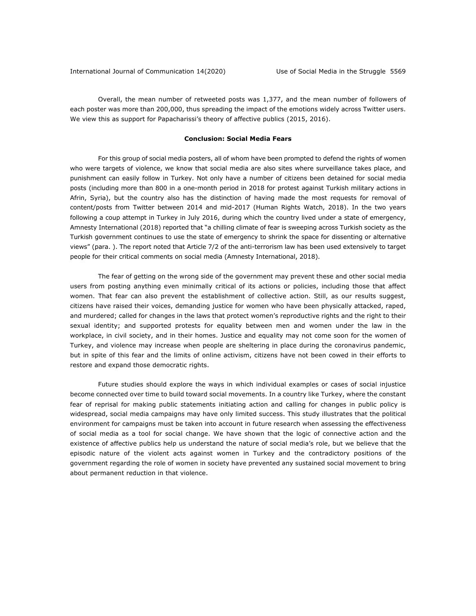Overall, the mean number of retweeted posts was 1,377, and the mean number of followers of each poster was more than 200,000, thus spreading the impact of the emotions widely across Twitter users. We view this as support for Papacharissi's theory of affective publics (2015, 2016).

#### **Conclusion: Social Media Fears**

For this group of social media posters, all of whom have been prompted to defend the rights of women who were targets of violence, we know that social media are also sites where surveillance takes place, and punishment can easily follow in Turkey. Not only have a number of citizens been detained for social media posts (including more than 800 in a one-month period in 2018 for protest against Turkish military actions in Afrin, Syria), but the country also has the distinction of having made the most requests for removal of content/posts from Twitter between 2014 and mid-2017 (Human Rights Watch, 2018). In the two years following a coup attempt in Turkey in July 2016, during which the country lived under a state of emergency, Amnesty International (2018) reported that "a chilling climate of fear is sweeping across Turkish society as the Turkish government continues to use the state of emergency to shrink the space for dissenting or alternative views" (para. ). The report noted that Article 7/2 of the anti-terrorism law has been used extensively to target people for their critical comments on social media (Amnesty International, 2018).

The fear of getting on the wrong side of the government may prevent these and other social media users from posting anything even minimally critical of its actions or policies, including those that affect women. That fear can also prevent the establishment of collective action. Still, as our results suggest, citizens have raised their voices, demanding justice for women who have been physically attacked, raped, and murdered; called for changes in the laws that protect women's reproductive rights and the right to their sexual identity; and supported protests for equality between men and women under the law in the workplace, in civil society, and in their homes. Justice and equality may not come soon for the women of Turkey, and violence may increase when people are sheltering in place during the coronavirus pandemic, but in spite of this fear and the limits of online activism, citizens have not been cowed in their efforts to restore and expand those democratic rights.

Future studies should explore the ways in which individual examples or cases of social injustice become connected over time to build toward social movements. In a country like Turkey, where the constant fear of reprisal for making public statements initiating action and calling for changes in public policy is widespread, social media campaigns may have only limited success. This study illustrates that the political environment for campaigns must be taken into account in future research when assessing the effectiveness of social media as a tool for social change. We have shown that the logic of connective action and the existence of affective publics help us understand the nature of social media's role, but we believe that the episodic nature of the violent acts against women in Turkey and the contradictory positions of the government regarding the role of women in society have prevented any sustained social movement to bring about permanent reduction in that violence.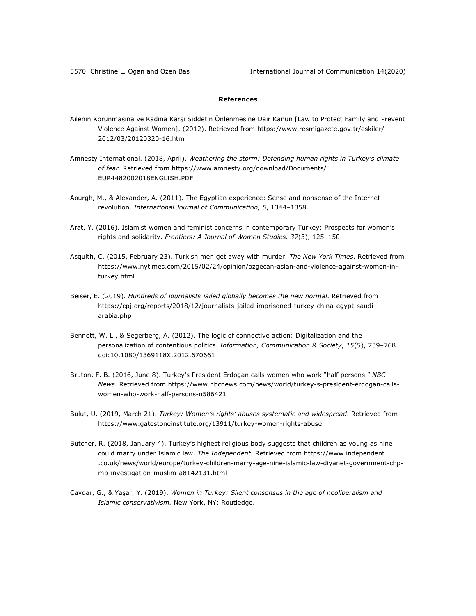### **References**

- Ailenin Korunmasına ve Kadına Karşı Şiddetin Önlenmesine Dair Kanun [Law to Protect Family and Prevent Violence Against Women]. (2012). Retrieved from https://www.resmigazete.gov.tr/eskiler/ 2012/03/20120320-16.htm
- Amnesty International. (2018, April). *Weathering the storm: Defending human rights in Turkey's climate of fear*. Retrieved from https://www.amnesty.org/download/Documents/ EUR4482002018ENGLISH.PDF
- Aourgh, M., & Alexander, A. (2011). The Egyptian experience: Sense and nonsense of the Internet revolution. *International Journal of Communication, 5*, 1344–1358.
- Arat, Y. (2016). Islamist women and feminist concerns in contemporary Turkey: Prospects for women's rights and solidarity. *Frontiers: A Journal of Women Studies, 37*(3), 125–150.
- Asquith, C. (2015, February 23). Turkish men get away with murder. *The New York Times*. Retrieved from https://www.nytimes.com/2015/02/24/opinion/ozgecan-aslan-and-violence-against-women-inturkey.html
- Beiser, E. (2019). *Hundreds of journalists jailed globally becomes the new normal*. Retrieved from https://cpj.org/reports/2018/12/journalists-jailed-imprisoned-turkey-china-egypt-saudiarabia.php
- Bennett, W. L., & Segerberg, A. (2012). The logic of connective action: Digitalization and the personalization of contentious politics. *Information, Communication & Society*, *15*(5), 739–768. doi:10.1080/1369118X.2012.670661
- Bruton, F. B. (2016, June 8). Turkey's President Erdogan calls women who work "half persons." *NBC News*. Retrieved from https://www.nbcnews.com/news/world/turkey-s-president-erdogan-callswomen-who-work-half-persons-n586421
- Bulut, U. (2019, March 21). *Turkey: Women's rights' abuses systematic and widespread*. Retrieved from https://www.gatestoneinstitute.org/13911/turkey-women-rights-abuse
- Butcher, R. (2018, January 4). Turkey's highest religious body suggests that children as young as nine could marry under Islamic law. *The Independent.* Retrieved from https://www.independent .co.uk/news/world/europe/turkey-children-marry-age-nine-islamic-law-diyanet-government-chpmp-investigation-muslim-a8142131.html
- Çavdar, G., & Yaşar, Y. (2019). *Women in Turkey: Silent consensus in the age of neoliberalism and Islamic conservativism.* New York, NY: Routledge.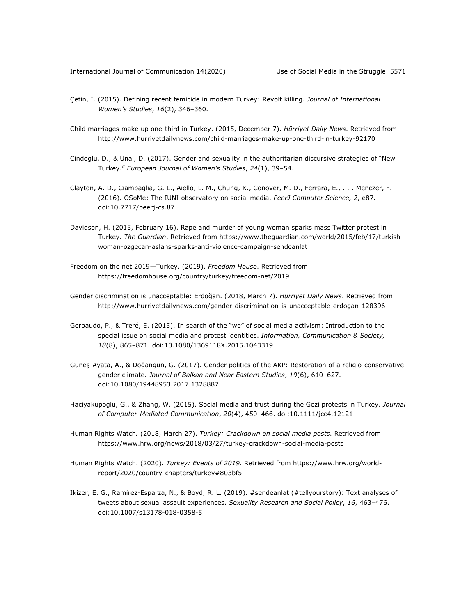- Çetin, I. (2015). Defining recent femicide in modern Turkey: Revolt killing. *Journal of International Women's Studies*, *16*(2), 346–360.
- Child marriages make up one-third in Turkey. (2015, December 7). *Hürriyet Daily News*. Retrieved from http://www.hurriyetdailynews.com/child-marriages-make-up-one-third-in-turkey-92170
- Cindoglu, D., & Unal, D. (2017). Gender and sexuality in the authoritarian discursive strategies of "New Turkey." *European Journal of Women's Studies*, *24*(1), 39–54.
- Clayton, A. D., Ciampaglia, G. L., Aiello, L. M., Chung, K., Conover, M. D., Ferrara, E., . . . Menczer, F. (2016). OSoMe: The IUNI observatory on social media. *PeerJ Computer Science, 2*, e87*.* doi:10.7717/peerj-cs.87
- Davidson, H. (2015, February 16). Rape and murder of young woman sparks mass Twitter protest in Turkey. *The Guardian*. Retrieved from https://www.theguardian.com/world/2015/feb/17/turkishwoman-ozgecan-aslans-sparks-anti-violence-campaign-sendeanlat
- Freedom on the net 2019—Turkey. (2019). *Freedom House*. Retrieved from https://freedomhouse.org/country/turkey/freedom-net/2019
- Gender discrimination is unacceptable: Erdoğan. (2018, March 7). *Hürriyet Daily News*. Retrieved from http://www.hurriyetdailynews.com/gender-discrimination-is-unacceptable-erdogan-128396
- Gerbaudo, P., & Treré, E. (2015). In search of the "we" of social media activism: Introduction to the special issue on social media and protest identities. *Information, Communication & Society, 18*(8), 865–871. doi:10.1080/1369118X.2015.1043319
- Güneş-Ayata, A., & Doğangün, G. (2017). Gender politics of the AKP: Restoration of a religio-conservative gender climate. *Journal of Balkan and Near Eastern Studies*, *19*(6), 610–627. doi:10.1080/19448953.2017.1328887
- Haciyakupoglu, G., & Zhang, W. (2015). Social media and trust during the Gezi protests in Turkey. *Journal of Computer-Mediated Communication*, *20*(4), 450–466. doi:10.1111/jcc4.12121
- Human Rights Watch*.* (2018, March 27). *Turkey: Crackdown on social media posts*. Retrieved from https://www.hrw.org/news/2018/03/27/turkey-crackdown-social-media-posts
- Human Rights Watch. (2020). *Turkey: Events of 2019*. Retrieved from https://www.hrw.org/worldreport/2020/country-chapters/turkey#803bf5
- Ikizer, E. G., Ramírez-Esparza, N., & Boyd, R. L. (2019). #sendeanlat (#tellyourstory): Text analyses of tweets about sexual assault experiences. *Sexuality Research and Social Policy*, *16*, 463–476. doi:10.1007/s13178-018-0358-5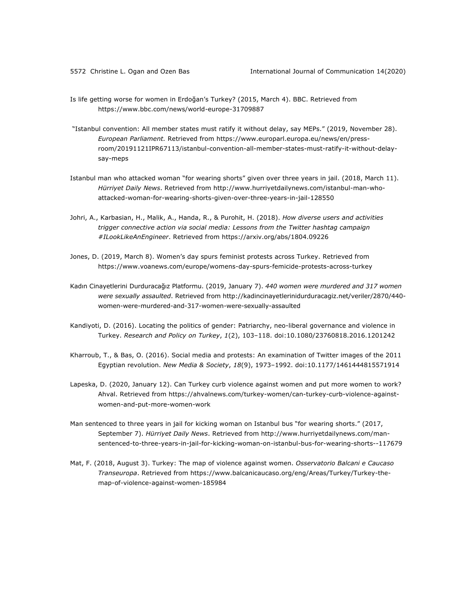- Is life getting worse for women in Erdoğan's Turkey? (2015, March 4). BBC. Retrieved from https://www.bbc.com/news/world-europe-31709887
- "Istanbul convention: All member states must ratify it without delay, say MEPs." (2019, November 28). *European Parliament.* Retrieved from https://www.europarl.europa.eu/news/en/pressroom/20191121IPR67113/istanbul-convention-all-member-states-must-ratify-it-without-delaysay-meps
- Istanbul man who attacked woman "for wearing shorts" given over three years in jail. (2018, March 11). *Hürriyet Daily News*. Retrieved from http://www.hurriyetdailynews.com/istanbul-man-whoattacked-woman-for-wearing-shorts-given-over-three-years-in-jail-128550
- Johri, A., Karbasian, H., Malik, A., Handa, R., & Purohit, H. (2018). *How diverse users and activities trigger connective action via social media: Lessons from the Twitter hashtag campaign #ILookLikeAnEngineer*. Retrieved from https://arxiv.org/abs/1804.09226
- Jones, D. (2019, March 8). Women's day spurs feminist protests across Turkey. Retrieved from https://www.voanews.com/europe/womens-day-spurs-femicide-protests-across-turkey
- Kadın Cinayetlerini Durduracağız Platformu. (2019, January 7). *440 women were murdered and 317 women were sexually assaulted*. Retrieved from http://kadincinayetlerinidurduracagiz.net/veriler/2870/440 women-were-murdered-and-317-women-were-sexually-assaulted
- Kandiyoti, D. (2016). Locating the politics of gender: Patriarchy, neo-liberal governance and violence in Turkey. *Research and Policy on Turkey*, *1*(2), 103–118. doi:10.1080/23760818.2016.1201242
- Kharroub, T., & Bas, O. (2016). Social media and protests: An examination of Twitter images of the 2011 Egyptian revolution. *New Media & Society*, *18*(9), 1973–1992. doi:10.1177/1461444815571914
- Lapeska, D. (2020, January 12). Can Turkey curb violence against women and put more women to work? Ahval. Retrieved from https://ahvalnews.com/turkey-women/can-turkey-curb-violence-againstwomen-and-put-more-women-work
- Man sentenced to three years in jail for kicking woman on Istanbul bus "for wearing shorts." (2017, September 7). *Hürriyet Daily News*. Retrieved from http://www.hurriyetdailynews.com/mansentenced-to-three-years-in-jail-for-kicking-woman-on-istanbul-bus-for-wearing-shorts--117679
- Mat, F. (2018, August 3). Turkey: The map of violence against women. *Osservatorio Balcani e Caucaso Transeuropa*. Retrieved from https://www.balcanicaucaso.org/eng/Areas/Turkey/Turkey-themap-of-violence-against-women-185984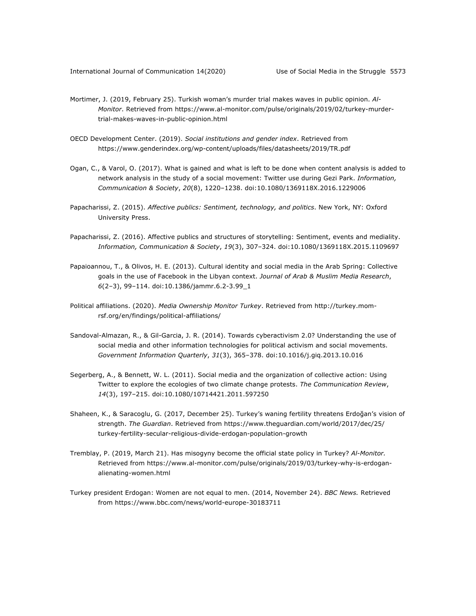- Mortimer, J. (2019, February 25). Turkish woman's murder trial makes waves in public opinion. *Al-Monitor*. Retrieved from https://www.al-monitor.com/pulse/originals/2019/02/turkey-murdertrial-makes-waves-in-public-opinion.html
- OECD Development Center. (2019). *Social institutions and gender index*. Retrieved from https://www.genderindex.org/wp-content/uploads/files/datasheets/2019/TR.pdf
- Ogan, C., & Varol, O. (2017). What is gained and what is left to be done when content analysis is added to network analysis in the study of a social movement: Twitter use during Gezi Park. *Information, Communication & Society*, *20*(8), 1220–1238. doi:10.1080/1369118X.2016.1229006
- Papacharissi, Z. (2015). *Affective publics: Sentiment, technology, and politics*. New York, NY: Oxford University Press.
- Papacharissi, Z. (2016). Affective publics and structures of storytelling: Sentiment, events and mediality. *Information, Communication & Society*, *19*(3), 307–324. doi:10.1080/1369118X.2015.1109697
- Papaioannou, T., & Olivos, H. E. (2013). Cultural identity and social media in the Arab Spring: Collective goals in the use of Facebook in the Libyan context. *Journal of Arab & Muslim Media Research*, *6*(2–3), 99–114. doi:10.1386/jammr.6.2-3.99\_1
- Political affiliations. (2020). *Media Ownership Monitor Turkey*. Retrieved from http://turkey.momrsf.org/en/findings/political-affiliations/
- Sandoval-Almazan, R., & Gil-Garcia, J. R. (2014). Towards cyberactivism 2.0? Understanding the use of social media and other information technologies for political activism and social movements. *Government Information Quarterly*, *31*(3), 365–378. doi:10.1016/j.giq.2013.10.016
- Segerberg, A., & Bennett, W. L. (2011). Social media and the organization of collective action: Using Twitter to explore the ecologies of two climate change protests. *The Communication Review*, *14*(3), 197–215. doi:10.1080/10714421.2011.597250
- Shaheen, K., & Saracoglu, G. (2017, December 25). Turkey's waning fertility threatens Erdoğan's vision of strength. *The Guardian*. Retrieved from https://www.theguardian.com/world/2017/dec/25/ turkey-fertility-secular-religious-divide-erdogan-population-growth
- Tremblay, P. (2019, March 21). Has misogyny become the official state policy in Turkey? *Al-Monitor.* Retrieved from https://www.al-monitor.com/pulse/originals/2019/03/turkey-why-is-erdoganalienating-women.html
- Turkey president Erdogan: Women are not equal to men. (2014, November 24). *BBC News.* Retrieved from https://www.bbc.com/news/world-europe-30183711